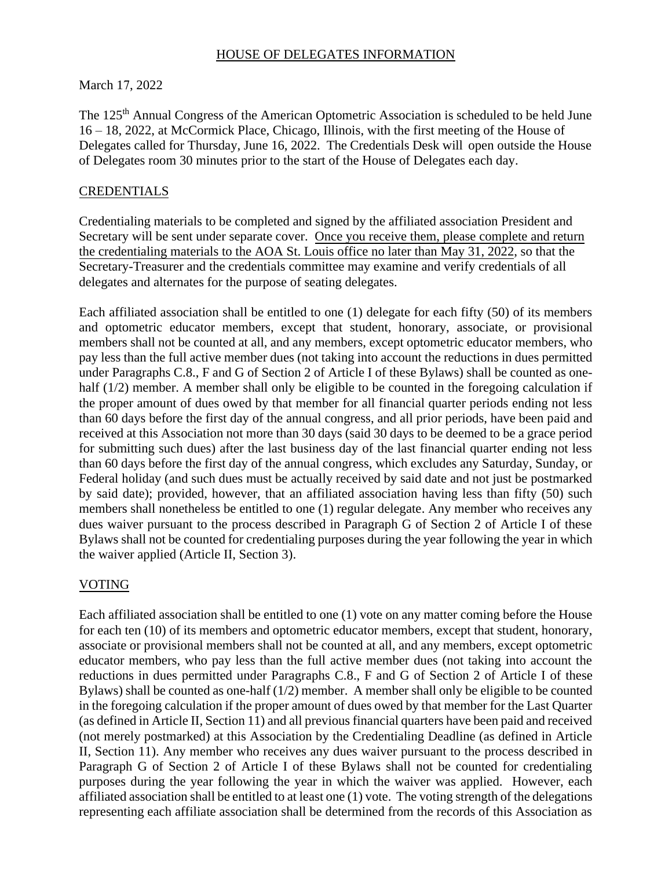#### HOUSE OF DELEGATES INFORMATION

### March 17, 2022

The 125th Annual Congress of the American Optometric Association is scheduled to be held June 16 – 18, 2022, at McCormick Place, Chicago, Illinois, with the first meeting of the House of Delegates called for Thursday, June 16, 2022. The Credentials Desk will open outside the House of Delegates room 30 minutes prior to the start of the House of Delegates each day.

# CREDENTIALS

Credentialing materials to be completed and signed by the affiliated association President and Secretary will be sent under separate cover. Once you receive them, please complete and return the credentialing materials to the AOA St. Louis office no later than May 31, 2022, so that the Secretary-Treasurer and the credentials committee may examine and verify credentials of all delegates and alternates for the purpose of seating delegates.

Each affiliated association shall be entitled to one (1) delegate for each fifty (50) of its members and optometric educator members, except that student, honorary, associate, or provisional members shall not be counted at all, and any members, except optometric educator members, who pay less than the full active member dues (not taking into account the reductions in dues permitted under Paragraphs C.8., F and G of Section 2 of Article I of these Bylaws) shall be counted as onehalf (1/2) member. A member shall only be eligible to be counted in the foregoing calculation if the proper amount of dues owed by that member for all financial quarter periods ending not less than 60 days before the first day of the annual congress, and all prior periods, have been paid and received at this Association not more than 30 days (said 30 days to be deemed to be a grace period for submitting such dues) after the last business day of the last financial quarter ending not less than 60 days before the first day of the annual congress, which excludes any Saturday, Sunday, or Federal holiday (and such dues must be actually received by said date and not just be postmarked by said date); provided, however, that an affiliated association having less than fifty (50) such members shall nonetheless be entitled to one (1) regular delegate. Any member who receives any dues waiver pursuant to the process described in Paragraph G of Section 2 of Article I of these Bylaws shall not be counted for credentialing purposes during the year following the year in which the waiver applied (Article II, Section 3).

# VOTING

Each affiliated association shall be entitled to one (1) vote on any matter coming before the House for each ten (10) of its members and optometric educator members, except that student, honorary, associate or provisional members shall not be counted at all, and any members, except optometric educator members, who pay less than the full active member dues (not taking into account the reductions in dues permitted under Paragraphs C.8., F and G of Section 2 of Article I of these Bylaws) shall be counted as one-half (1/2) member. A member shall only be eligible to be counted in the foregoing calculation if the proper amount of dues owed by that member for the Last Quarter (as defined in Article II, Section 11) and all previous financial quarters have been paid and received (not merely postmarked) at this Association by the Credentialing Deadline (as defined in Article II, Section 11). Any member who receives any dues waiver pursuant to the process described in Paragraph G of Section 2 of Article I of these Bylaws shall not be counted for credentialing purposes during the year following the year in which the waiver was applied. However, each affiliated association shall be entitled to at least one (1) vote. The voting strength of the delegations representing each affiliate association shall be determined from the records of this Association as